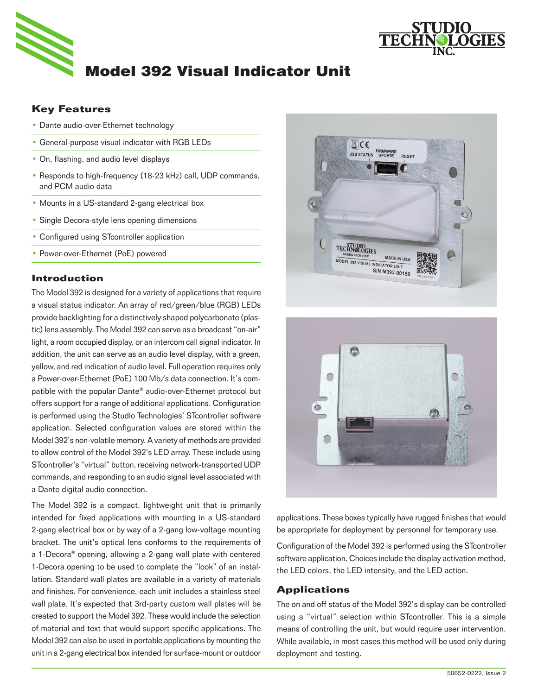



# **Key Features**

- Dante audio-over-Ethernet technology
- General-purpose visual indicator with RGB LEDs
- On, flashing, and audio level displays
- Responds to high-frequency (18-23 kHz) call, UDP commands, and PCM audio data
- Mounts in a US-standard 2-gang electrical box
- Single Decora-style lens opening dimensions
- Configured using STcontroller application
- Power-over-Ethernet (PoE) powered

#### **Introduction**

The Model 392 is designed for a variety of applications that require a visual status indicator. An array of red/green/blue (RGB) LEDs provide backlighting for a distinctively shaped polycarbonate (plastic) lens assembly. The Model 392 can serve as a broadcast "on-air" light, a room occupied display, or an intercom call signal indicator. In addition, the unit can serve as an audio level display, with a green, yellow, and red indication of audio level. Full operation requires only a Power-over-Ethernet (PoE) 100 Mb/s data connection. It's compatible with the popular Dante® audio-over-Ethernet protocol but offers support for a range of additional applications. Configuration is performed using the Studio Technologies' STcontroller software application. Selected configuration values are stored within the Model 392's non-volatile memory. A variety of methods are provided to allow control of the Model 392's LED array. These include using STcontroller's "virtual" button, receiving network-transported UDP commands, and responding to an audio signal level associated with a Dante digital audio connection.

The Model 392 is a compact, lightweight unit that is primarily intended for fixed applications with mounting in a US-standard 2-gang electrical box or by way of a 2-gang low-voltage mounting bracket. The unit's optical lens conforms to the requirements of a 1-Decora® opening, allowing a 2-gang wall plate with centered 1-Decora opening to be used to complete the "look" of an installation. Standard wall plates are available in a variety of materials and finishes. For convenience, each unit includes a stainless steel wall plate. It's expected that 3rd-party custom wall plates will be created to support the Model 392. These would include the selection of material and text that would support specific applications. The Model 392 can also be used in portable applications by mounting the unit in a 2-gang electrical box intended for surface-mount or outdoor





applications. These boxes typically have rugged finishes that would be appropriate for deployment by personnel for temporary use.

Configuration of the Model 392 is performed using the STcontroller software application. Choices include the display activation method, the LED colors, the LED intensity, and the LED action.

## **Applications**

The on and off status of the Model 392's display can be controlled using a "virtual" selection within STcontroller. This is a simple means of controlling the unit, but would require user intervention. While available, in most cases this method will be used only during deployment and testing.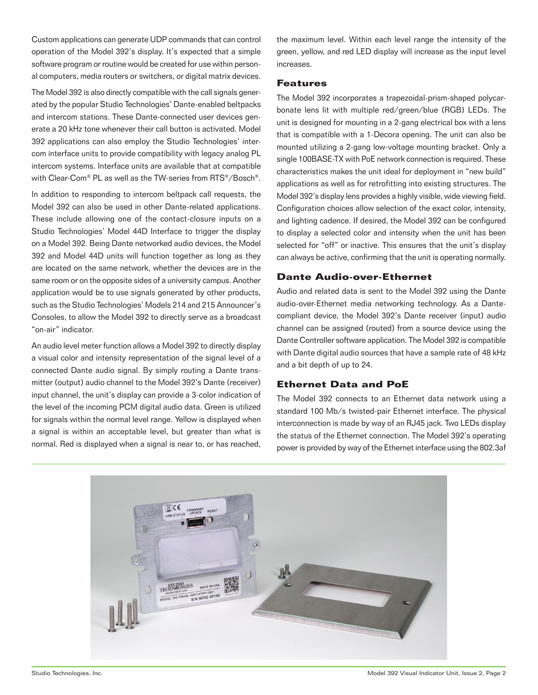Custom applications can generate UDP commands that can control operation of the Model 392's display. It's expected that a simple software program or routine would be created for use within personal computers, media routers or switchers, or digital matrix devices.

The Model 392 is also directly compatible with the call signals generated by the popular Studio Technologies' Dante-enabled beltpacks and intercom stations. These Dante-connected user devices generate a 20 kHz tone whenever their call button is activated. Model 392 applications can also employ the Studio Technologies' intercom interface units to provide compatibility with legacy analog PL intercom systems. Interface units are available that at compatible with Clear-Com® PL as well as the TW-series from RTS®/Bosch®.

In addition to responding to intercom beltpack call requests, the Model 392 can also be used in other Dante-related applications. These include allowing one of the contact-closure inputs on a Studio Technologies' Model 44D Interface to trigger the display on a Model 392. Being Dante networked audio devices, the Model 392 and Model 44D units will function together as long as they are located on the same network, whether the devices are in the same room or on the opposite sides of a university campus. Another application would be to use signals generated by other products, such as the Studio Technologies' Models 214 and 215 Announcer's Consoles, to allow the Model 392 to directly serve as a broadcast "on-air" indicator.

An audio level meter function allows a Model 392 to directly display a visual color and intensity representation of the signal level of a connected Dante audio signal. By simply routing a Dante transmitter (output) audio channel to the Model 392's Dante (receiver) input channel, the unit's display can provide a 3-color indication of the level of the incoming PCM digital audio data. Green is utilized for signals within the normal level range. Yellow is displayed when a signal is within an acceptable level, but greater than what is normal. Red is displayed when a signal is near to, or has reached,

the maximum level. Within each level range the intensity of the green, yellow, and red LED display will increase as the input level increases.

### **Features**

The Model 392 incorporates a trapezoidal-prism-shaped polycarbonate lens lit with multiple red/green/blue (RGB) LEDs. The unit is designed for mounting in a 2-gang electrical box with a lens that is compatible with a 1-Decora opening. The unit can also be mounted utilizing a 2-gang low-voltage mounting bracket. Only a single 100BASE-TX with PoE network connection is required. These characteristics makes the unit ideal for deployment in "new build" applications as well as for retrofitting into existing structures. The Model 392's display lens provides a highly visible, wide viewing field. Configuration choices allow selection of the exact color, intensity, and lighting cadence. If desired, the Model 392 can be configured to display a selected color and intensity when the unit has been selected for "off" or inactive. This ensures that the unit's display can always be active, confirming that the unit is operating normally.

# **Dante Audio-over-Ethernet**

Audio and related data is sent to the Model 392 using the Dante audio-over-Ethernet media networking technology. As a Dantecompliant device, the Model 392's Dante receiver (input) audio channel can be assigned (routed) from a source device using the Dante Controller software application. The Model 392 is compatible with Dante digital audio sources that have a sample rate of 48 kHz and a bit depth of up to 24.

# **Ethernet Data and PoE**

The Model 392 connects to an Ethernet data network using a standard 100 Mb/s twisted-pair Ethernet interface. The physical interconnection is made by way of an RJ45 jack. Two LEDs display the status of the Ethernet connection. The Model 392's operating power is provided by way of the Ethernet interface using the 802.3af

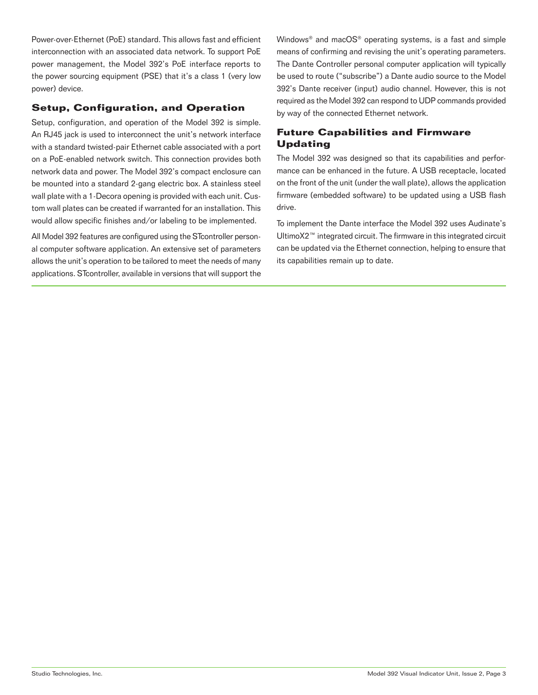Power-over-Ethernet (PoE) standard. This allows fast and efficient interconnection with an associated data network. To support PoE power management, the Model 392's PoE interface reports to the power sourcing equipment (PSE) that it's a class 1 (very low power) device.

# **Setup, Configuration, and Operation**

Setup, configuration, and operation of the Model 392 is simple. An RJ45 jack is used to interconnect the unit's network interface with a standard twisted-pair Ethernet cable associated with a port on a PoE-enabled network switch. This connection provides both network data and power. The Model 392's compact enclosure can be mounted into a standard 2-gang electric box. A stainless steel wall plate with a 1-Decora opening is provided with each unit. Custom wall plates can be created if warranted for an installation. This would allow specific finishes and/or labeling to be implemented.

All Model 392 features are configured using the STcontroller personal computer software application. An extensive set of parameters allows the unit's operation to be tailored to meet the needs of many applications. STcontroller, available in versions that will support the Windows® and macOS® operating systems, is a fast and simple means of confirming and revising the unit's operating parameters. The Dante Controller personal computer application will typically be used to route ("subscribe") a Dante audio source to the Model 392's Dante receiver (input) audio channel. However, this is not required as the Model 392 can respond to UDP commands provided by way of the connected Ethernet network.

# **Future Capabilities and Firmware Updating**

The Model 392 was designed so that its capabilities and performance can be enhanced in the future. A USB receptacle, located on the front of the unit (under the wall plate), allows the application firmware (embedded software) to be updated using a USB flash drive.

To implement the Dante interface the Model 392 uses Audinate's UltimoX2™ integrated circuit. The firmware in this integrated circuit can be updated via the Ethernet connection, helping to ensure that its capabilities remain up to date.